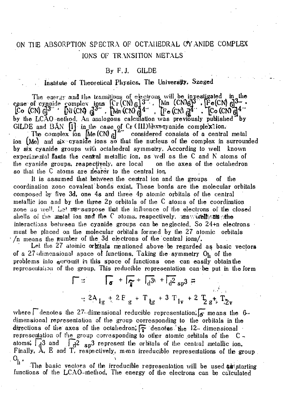## ON TIE ABSORPTION SPECTRA OF OCTAHEDRAL CYANIDE COMPLEX IONS OF TRANSITION METALS

## By F.J. GILDE

## . Institute of Theoteiical Physics. Tie University. Szeged

The energy and the transitions of electrons will be investigated  $\mathbf{u}_\alpha$  the case of eyaoide complex ions  $\left[Cr\left(CN\right)_0\right]$ <sup>3</sup>. [Mn  $\left(CN\right)_0$ ]<sup>3</sup>. [Fe(CN) 6]<sup>3-</sup> .  $[{\mathbb C}$ o (CN)  ${\mathbb G}^{3-}$  ' [Ni (CN)  ${\mathbb G}^{3-}$  ,  $\lceil$ Mn (CN)  ${\mathbb G}^{4-}$  ,  $\lceil$ Fe (CN)  ${\mathbb G}^{4-}$  ,  $\lceil$ Co (CN)  ${\mathbb G}^{4-}$ by the LCAO-nethod. An analogous calculation was previously published by GILDE and BAN  $\| \mathbf{i} \|$  in the case of Cr (III) hexogyanide complex ion.

The complex ion  $|\text{Me}(\text{CN})_6|^2$  considered consists of a central metal ion (Me) and six cyanide ions so that the nucleus of tie complex in surrounded by six cyanide groups with octahedral symmetry. According to well known experimental flasts the central metallic ion. as well as the C and N atoms of the cyanide groups, respectively, are local on the axes of the octahedron so that the C atoms are rearer to the central ion,

It is assumed that between the central ion and the groups of the coordination zone covalent bonds exist These bonds are the molecular orbitals composed by five 3d, one 4s and three 4p atomic orbitals of the central metallic ion and by the three 2p orbitals of the C atoms of the coordination zone as well. Let  $\pi$ **E** suppose that the influence of the electrons of the closed shells of the metal ion and the C atoms, respectively, *mas* wi**veli**). a**s** whe interactions between the cyanide groups can be neglected. So 24+n electrons must be placed on the molecular orbitals formed by tie 27 atomic orbitals /n means the number of the 3d electrons of the central ions/.

Let the  $27$  atomic orbitals mentioned above be regarded as basic vectors of a 27-dimensional space of functions. Taking the symmetry  $O_h$  of the problems into account in this space of functions one can easily obtain the representation of the group. This reducible representation can be put in the form

$$
= \frac{1}{5} \int_{\sigma}^{2} + \frac{1}{4} \int_{d}^{2} + \frac{1}{4} \int_{d}^{2} \frac{1}{5} \int_{s}^{2} = \frac{1}{2} 2A_{1g} + 2E_{g} + T_{1g} + 3T_{1v} + 2T_{2g} + T_{2v}
$$

where  $\Box$  denotes the 27-dimensional reducible representation.  $\sigma$  means the 6dimensional representation of the group corresponding to the orbitals in the directions of the axes of the octahedron;  $\sqrt{\pi}$  denotes. the 12- dimensional representation of the group corresponding to other atomic orbitals of the C atomsi  $\frac{1}{4}$ 3  $E$  and  $T$ , respectively, mean irreducible representations of the gr  $F_{\rm A}$ , and T, respectively, mean irreducible representations of tiesgentations of tiesgentations of tiesgentations of tiesgentations of tiesgentations of tiesgentations of tiesgentations of tiesgentations of tiesgentat  $O_{h}$ .

The basic vectors of the basic vectors of the  $\frac{1}{2}$  shed  $\frac{1}{2}$  starting  $\frac{1}{2}$  starting  $\frac{1}{2}$  starting  $\frac{1}{2}$  shed  $\frac{1}{2}$  starting  $\frac{1}{2}$  starting  $\frac{1}{2}$  starting  $\frac{1}{2}$  starting  $\frac{1}{2}$  st functions of the LCAO-nlethod, The energy of the electrons can be calculated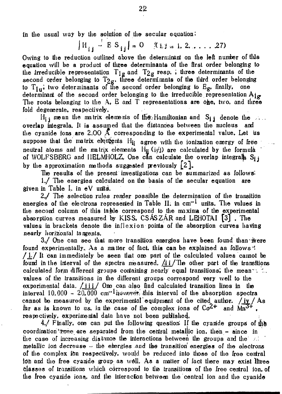ín tlie usual way by the solution of the secular equation:

 $\left| H_{i,j} \right| = \text{ES}_{i,j}$  = 0  $\left| 0, 1, 2, \ldots \right|$  27)

Owing to the reduction outlined above the determinant on the left number of this equation **Will** be a product of three determinants of the first order belonging to the irreducible representation  $T_{1g}$  and  $T_{2g}$  resp. I three determinants of the second order belonging to  $T_{2g}$ , three determinants of the third order belonging to  $T_{1n}$ , two determinants of the second order belonging to  $E_{\alpha}$ , finally, one determinant of the second order belonging to the irreducible representation  $\mathbf{A}_1$ The roots belonging to the  $A$ ,  $E$  and  $T$  representations are one, two, and three fold degenerate, respectively,

 $H_{ij}$  mean the matrix elements of the Hamiltonian and  $S_{ij}$  denote the  $\dots$ overlap integrals. It is assumed that the distances between the nucleus and the cyanide ions are 2,00  $\AA$  corresponding to the experimental value. Let us suppose that the matrix elettents  $H_{ij}$  agree with the ionization energy of free neutral atoms and the matrix elements  $H_{ij}$  (i $\sharp$ j) are calculated by the formula of WOLFSBERG and IIELMHOLZ, One can calculate the overlap integral  $S_{ij}$ by the approximation methods suggested previously  $[2]$ .

The results of the present investigations can be summarized as follows:

1./ Tlie energies calculated on lie basis of tie secular equation are given in Table  $l$ , in  $eV$  units.

 $2$ , The selection rules render possible the determination of the transition energies of the electrons represented in Table II. in  $cm^{-1}$  units. The values in the second column of this table correspond to the maxima of the experimental absorption curves measured by KISS, CSÁSZÁR and LEHOTAI <sup>[3]</sup>. The values in brackets denote the inflexion points of tie absorption curves having nearly horizontal tangents.

 $3$ ./ One can see that more transition energies have been found than were found experimentally. As a matter of fact, this can be explained as follows '. **/J: /** ft can immediately be seen tliat one part of tie calculated values cannot be found in the interval of the spectra measured,  $\frac{\pi i}{\pi}$  He other part of the transitions calculated form different groups containing nearly equal transitions; the mean  $\sim$   $\sim$ values of tie transitions in tlie different groups correspond very well to the experimental data,  $/111/10$  me can also find calculated transition lines in the interval 10.000 - 20,000 cm<sup>-1</sup>luovevet, this interval of the absorption spectra cannot be measured by the experimental equipment of the cited author.  $/$ iv  $/$  As far as is known to us, in the case of the complex ions of  $Co^{2+}$  and  $M_{n}^{3+}$ . respectively, experimental data have not been published

 $4$ , Finally, one can put the following question If the cyanide groups of the coordination "zone are separated from the central metallic ion, then - since in the case of increasing distance the interactions between the groups and the  $\mathbb{R}$ metallic ion decrease  $\sim$  the energies and the transition energies of the electrons öf the complex íön respectively, would be reduced into those of tlie free Central lOh and tlie free cyanide ff**-Oup** as wôll. As a matter of lact there may exist îhree Classes of transitions which correspond to tlfc transitions of the free central ion, of the free cyanide ions, and the interaction between the central ion and the cyanide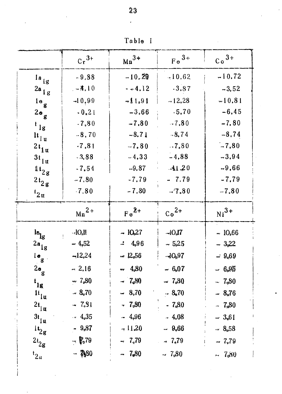Table I

|                                           | $Cr^{3+}$              | $Mn^{3+}$ | $F e^{3+}$ | $Co3+$                        |
|-------------------------------------------|------------------------|-----------|------------|-------------------------------|
| $l$ a $lg$                                | $-9,88$                | $-10.29$  | $-10.62$   | $-10,72$                      |
| $2a_{1g}$                                 | $-4.10$                | $-4.12$   | $-3.87$    | $-3,52$                       |
| $1e_g$                                    | $-10,99$               | $-11.91$  | $-12.28$   | $-10.81$                      |
| $2a_g$                                    | $-0,21$                | $-3,66$   | $-5,70$    | $-6,45$                       |
| $\iota_{1g}$                              | $-7,80$                | $-7,80$   | $-7,80$    | $-7,80$                       |
| $\mathbf{h}_{1\, \mathbf{u}}$             | $-8,70$                | $-8.71$   | $-8,74$    | $-8,74$                       |
| $2t_{1u}$                                 | $-7, 81$               | $-7,80$   | $-7,80$    | $-7,80$                       |
| $3t_{1u}$                                 | $-3,88$                | $-4,33$   | $-4.88$    | $-3.94$                       |
| $\mathfrak{u}_{2\mathfrak{g}}$            | $-7,54$                | $-9,87$   | $-11.20$   | $-9,66$                       |
| $2t_{2g}$                                 | $-7,80$                | $-7,79$   | $-7.79$    | $-7,79$                       |
| $t_{2u}$                                  | $-7.80$                | $-7.80$   | $-7.80$    | $-7,80$                       |
|                                           | $Mn^{2+}$              | $Fe2+$    | $Co2+$     | $Ni3+$                        |
| $\mathbf{e}_{\mathrm{lg}}$                | $-IOo$ ll<br>$\bar{V}$ | $-10,27$  | $-IO0I$    | $-10,66$                      |
| $2a_{ig}$                                 | $-4,52$                | $-14,96$  | $-5.25$    | $-3,22$                       |
| $1\bullet$ g                              | $-12,24$               | $= 12,56$ | $-JOn97$   | $= 9.69$                      |
| $2\bullet$ g                              | $-2,16$                | $+ 4.80$  | $-6.07$    | $-6.95$                       |
| $t_{1g}$                                  | $-7,80$                | $-7,80$   | $-7.80$    | $-7,80$                       |
| $\mathfrak{t}_{\mathfrak{f}\mathfrak{u}}$ | $-8.70$                | $-8,70$   | $-8.70$    | $= 8.76$                      |
| $2t_{\parallel \mathbf{u}}$               | $-7.81$                | $-7.80$   | $-7.80$    | $-7,80$                       |
| $3t_{\parallel \text{u}}$                 | $-4.35$                | $-4.96$   | $-4.08$    | $-3.61$                       |
| $\mathfrak{u}_{2\mathbf{g}}$              | $-9.87$                | $-11,20$  | $-9.66$    | $-8.58$                       |
| $\mathbf{2}\mathbf{t}_{2\mathbf{g}}$      | $ \frac{6}{5}$ 79      | $-7,79$   | $= 7.79$   | $-7,79$<br>$\hat{\mathbf{F}}$ |
| $t_{2u}$                                  | $-$ 7080               | $-7,80$   | $-7.80$    | $-7,80$                       |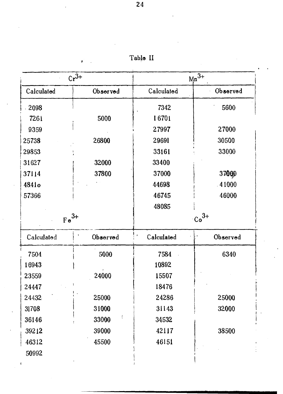| $Cr^{3+}$         |          | $Mn^{J+1}$ |          |  |
|-------------------|----------|------------|----------|--|
| Calculated        | Observed | Calculated | Observed |  |
| 2098              |          | 7342       | 5600     |  |
| 7261              | 5000     | 16701      |          |  |
| 9359              |          | 27997      | 27000    |  |
| 25738             | 26800    | 29691      | 30500    |  |
| 29853             |          | 33161      | 33000    |  |
| 31627             | 32000    | 33400      |          |  |
| 37114             | 37800    | 37000      | 3700D    |  |
| 4841 <sub>o</sub> |          | 44698      | 41000    |  |
| 57366             |          | 46745      | 46000    |  |
|                   |          | 48085      |          |  |
| $Fe3+$            |          | $Co^{3+}$  |          |  |
| Calculated        | Observed | Calculated | Observed |  |
| 7504              | 5000     | 7584       | 6340     |  |
| 16943             |          | 10892      |          |  |
| 23559             | 24000    | 15507      |          |  |
| 24447             |          | 18476      |          |  |
| 24432             | 25000    | 24286      | 25000    |  |
| 31708             | 31000    | 31143      | 32000    |  |
| 36146             | 33000    | 34532      |          |  |
| 39212             | 39000    | 42117      | 38500    |  |
| 46312             | 45500    | 46151      |          |  |

50992

 $\mathbf{t}$ 

ï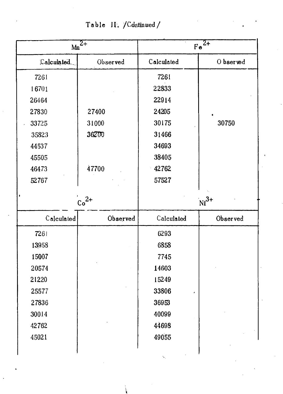Table II. / Continued /

| $Mn^{\overline{2+}}$ |          | $Fe^2$     |           |  |
|----------------------|----------|------------|-----------|--|
| Calculated.          | Observed | Calculated | O bserved |  |
| 7261                 |          | 7261       |           |  |
| 16701                |          | 22833      |           |  |
| 26464                |          | 22914      |           |  |
| 27830                | 27400    | 24205      |           |  |
| 33725                | 31000    | 30175      | 30750     |  |
| 35823                | 36200    | 31466      |           |  |
| 44537                |          | 34693      |           |  |
| 45505                |          | 38405      |           |  |
| 46473                | 47700    | 42762      |           |  |
| 52767                |          | 57527      |           |  |
|                      |          |            |           |  |
|                      | $Co2+$   |            | $Ni^{3+}$ |  |
| Calculated           | Observed | Calculated | Observed  |  |
| 7261                 |          | 6293       |           |  |
| 13958                |          | 6858       |           |  |
| 15007                |          | 7745       |           |  |
| 20574                |          | 14603      |           |  |
| 21220                |          | 15249      |           |  |
| 25577                |          | 33806      |           |  |
| 27836                |          | 36953      |           |  |
| 30014                |          | 40099      |           |  |
| 42762                |          | 44698      |           |  |
| 45021                |          | 49055      |           |  |
|                      |          |            |           |  |